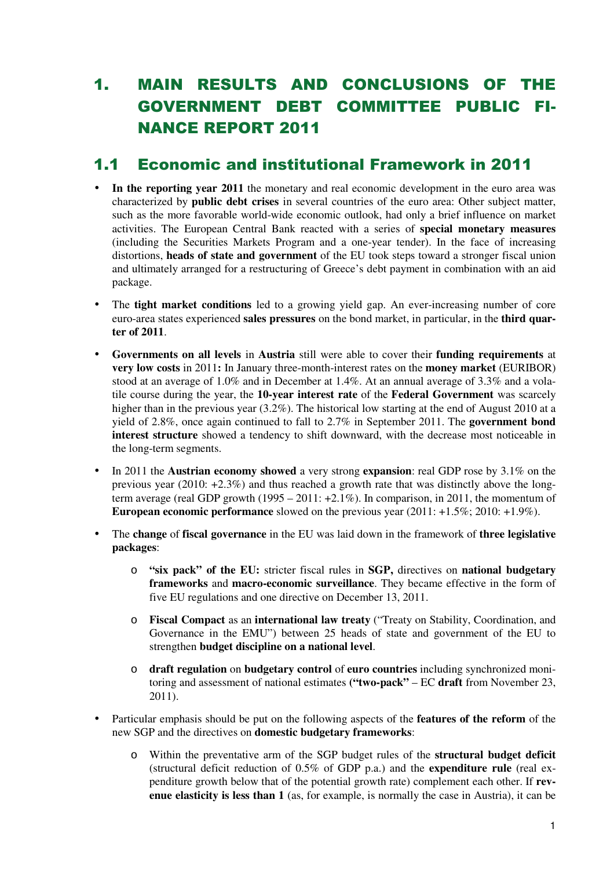# 1. MAIN RESULTS AND CONCLUSIONS OF THE GOVERNMENT DEBT COMMITTEE PUBLIC FI-NANCE REPORT 2011

### 1.1 Economic and institutional Framework in 2011

- In the reporting year 2011 the monetary and real economic development in the euro area was characterized by **public debt crises** in several countries of the euro area: Other subject matter, such as the more favorable world-wide economic outlook, had only a brief influence on market activities. The European Central Bank reacted with a series of **special monetary measures**  (including the Securities Markets Program and a one-year tender). In the face of increasing distortions, **heads of state and government** of the EU took steps toward a stronger fiscal union and ultimately arranged for a restructuring of Greece's debt payment in combination with an aid package.
- The **tight market conditions** led to a growing yield gap. An ever-increasing number of core euro-area states experienced **sales pressures** on the bond market, in particular, in the **third quarter of 2011**.
- **Governments on all levels** in **Austria** still were able to cover their **funding requirements** at **very low costs** in 2011**:** In January three-month-interest rates on the **money market** (EURIBOR) stood at an average of 1.0% and in December at 1.4%. At an annual average of 3.3% and a volatile course during the year, the **10-year interest rate** of the **Federal Government** was scarcely higher than in the previous year (3.2%). The historical low starting at the end of August 2010 at a yield of 2.8%, once again continued to fall to 2.7% in September 2011. The **government bond interest structure** showed a tendency to shift downward, with the decrease most noticeable in the long-term segments.
- In 2011 the **Austrian economy showed** a very strong **expansion**: real GDP rose by 3.1% on the previous year (2010:  $+2.3\%$ ) and thus reached a growth rate that was distinctly above the longterm average (real GDP growth  $(1995 - 2011: +2.1\%)$ ). In comparison, in 2011, the momentum of **European economic performance** slowed on the previous year (2011: +1.5%; 2010: +1.9%).
- The **change** of **fiscal governance** in the EU was laid down in the framework of **three legislative packages**:
	- o **"six pack" of the EU:** stricter fiscal rules in **SGP,** directives on **national budgetary frameworks** and **macro-economic surveillance**. They became effective in the form of five EU regulations and one directive on December 13, 2011.
	- o **Fiscal Compact** as an **international law treaty** ("Treaty on Stability, Coordination, and Governance in the EMU") between 25 heads of state and government of the EU to strengthen **budget discipline on a national level**.
	- o **draft regulation** on **budgetary control** of **euro countries** including synchronized monitoring and assessment of national estimates **("two-pack"** – EC **draft** from November 23, 2011).
- Particular emphasis should be put on the following aspects of the **features of the reform** of the new SGP and the directives on **domestic budgetary frameworks**:
	- o Within the preventative arm of the SGP budget rules of the **structural budget deficit** (structural deficit reduction of 0.5% of GDP p.a.) and the **expenditure rule** (real expenditure growth below that of the potential growth rate) complement each other. If **revenue elasticity is less than 1** (as, for example, is normally the case in Austria), it can be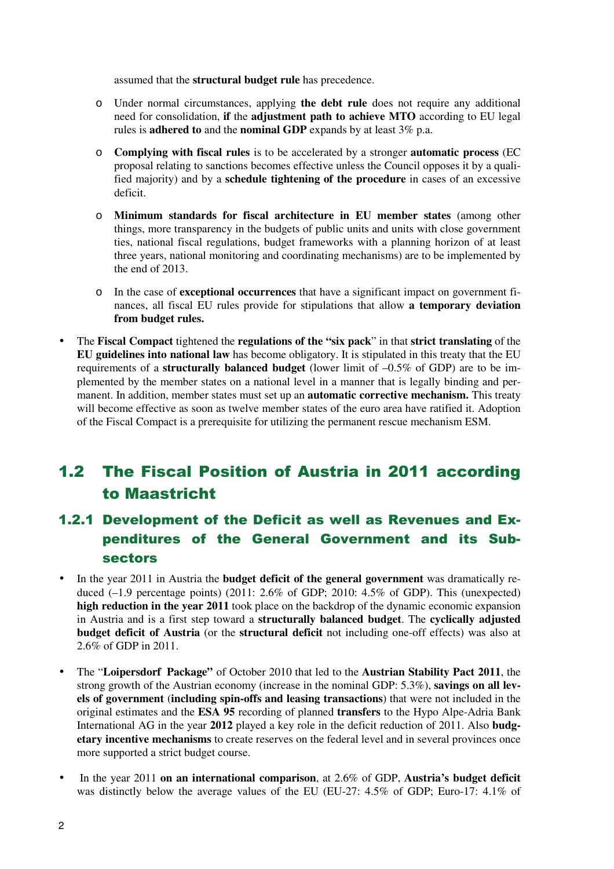assumed that the **structural budget rule** has precedence.

- o Under normal circumstances, applying **the debt rule** does not require any additional need for consolidation, **if** the **adjustment path to achieve MTO** according to EU legal rules is **adhered to** and the **nominal GDP** expands by at least 3% p.a.
- o **Complying with fiscal rules** is to be accelerated by a stronger **automatic process** (EC proposal relating to sanctions becomes effective unless the Council opposes it by a qualified majority) and by a **schedule tightening of the procedure** in cases of an excessive deficit.
- o **Minimum standards for fiscal architecture in EU member states** (among other things, more transparency in the budgets of public units and units with close government ties, national fiscal regulations, budget frameworks with a planning horizon of at least three years, national monitoring and coordinating mechanisms) are to be implemented by the end of 2013.
- o In the case of **exceptional occurrences** that have a significant impact on government finances, all fiscal EU rules provide for stipulations that allow **a temporary deviation from budget rules.**
- The **Fiscal Compact** tightened the **regulations of the "six pack**" in that **strict translating** of the **EU guidelines into national law** has become obligatory. It is stipulated in this treaty that the EU requirements of a **structurally balanced budget** (lower limit of –0.5% of GDP) are to be implemented by the member states on a national level in a manner that is legally binding and permanent. In addition, member states must set up an **automatic corrective mechanism.** This treaty will become effective as soon as twelve member states of the euro area have ratified it. Adoption of the Fiscal Compact is a prerequisite for utilizing the permanent rescue mechanism ESM.

## 1.2 The Fiscal Position of Austria in 2011 according to Maastricht

### 1.2.1 Development of the Deficit as well as Revenues and Expenditures of the General Government and its Subsectors

- In the year 2011 in Austria the **budget deficit of the general government** was dramatically reduced (-1.9 percentage points) (2011: 2.6% of GDP; 2010: 4.5% of GDP). This (unexpected) **high reduction in the year 2011** took place on the backdrop of the dynamic economic expansion in Austria and is a first step toward a **structurally balanced budget**. The **cyclically adjusted budget deficit of Austria** (or the **structural deficit** not including one-off effects) was also at 2.6% of GDP in 2011.
- The "**Loipersdorf Package"** of October 2010 that led to the **Austrian Stability Pact 2011**, the strong growth of the Austrian economy (increase in the nominal GDP: 5.3%), **savings on all levels of government** (**including spin-offs and leasing transactions**) that were not included in the original estimates and the **ESA 95** recording of planned **transfers** to the Hypo Alpe-Adria Bank International AG in the year **2012** played a key role in the deficit reduction of 2011. Also **budgetary incentive mechanisms** to create reserves on the federal level and in several provinces once more supported a strict budget course.
- In the year 2011 **on an international comparison**, at 2.6% of GDP, **Austria's budget deficit** was distinctly below the average values of the EU (EU-27: 4.5% of GDP; Euro-17: 4.1% of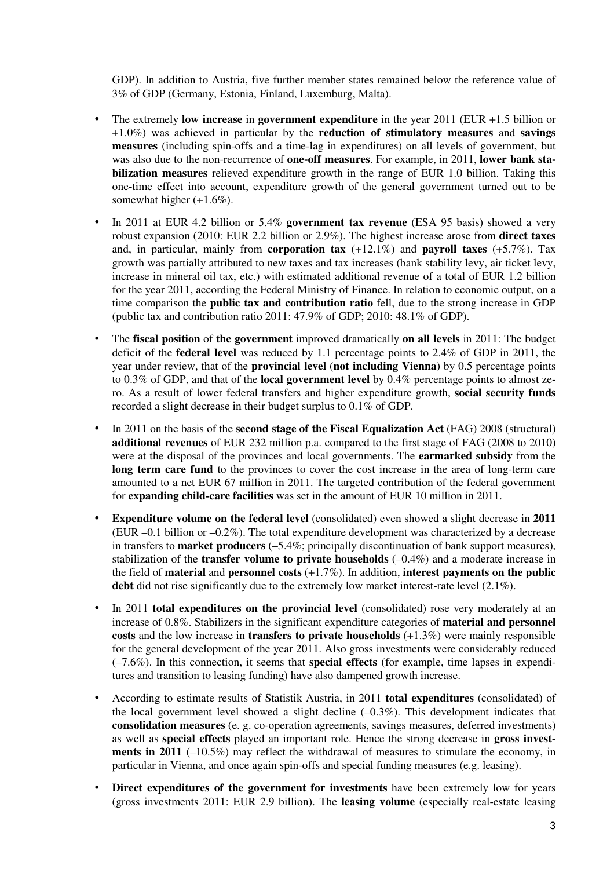GDP). In addition to Austria, five further member states remained below the reference value of 3% of GDP (Germany, Estonia, Finland, Luxemburg, Malta).

- The extremely **low increase** in **government expenditure** in the year 2011 (EUR +1.5 billion or +1.0%) was achieved in particular by the **reduction of stimulatory measures** and **savings measures** (including spin-offs and a time-lag in expenditures) on all levels of government, but was also due to the non-recurrence of **one-off measures**. For example, in 2011, **lower bank stabilization measures** relieved expenditure growth in the range of EUR 1.0 billion. Taking this one-time effect into account, expenditure growth of the general government turned out to be somewhat higher  $(+1.6\%)$ .
- In 2011 at EUR 4.2 billion or 5.4% **government tax revenue** (ESA 95 basis) showed a very robust expansion (2010: EUR 2.2 billion or 2.9%). The highest increase arose from **direct taxes**  and, in particular, mainly from **corporation tax** (+12.1%) and **payroll taxes** (+5.7%). Tax growth was partially attributed to new taxes and tax increases (bank stability levy, air ticket levy, increase in mineral oil tax, etc.) with estimated additional revenue of a total of EUR 1.2 billion for the year 2011, according the Federal Ministry of Finance. In relation to economic output, on a time comparison the **public tax and contribution ratio** fell, due to the strong increase in GDP (public tax and contribution ratio 2011: 47.9% of GDP; 2010: 48.1% of GDP).
- The **fiscal position** of **the government** improved dramatically **on all levels** in 2011: The budget deficit of the **federal level** was reduced by 1.1 percentage points to 2.4% of GDP in 2011, the year under review, that of the **provincial level** (**not including Vienna**) by 0.5 percentage points to 0.3% of GDP, and that of the **local government level** by 0.4% percentage points to almost zero. As a result of lower federal transfers and higher expenditure growth, **social security funds** recorded a slight decrease in their budget surplus to 0.1% of GDP.
- In 2011 on the basis of the **second stage of the Fiscal Equalization Act** (FAG) 2008 (structural) **additional revenues** of EUR 232 million p.a. compared to the first stage of FAG (2008 to 2010) were at the disposal of the provinces and local governments. The **earmarked subsidy** from the **long term care fund** to the provinces to cover the cost increase in the area of long-term care amounted to a net EUR 67 million in 2011. The targeted contribution of the federal government for **expanding child-care facilities** was set in the amount of EUR 10 million in 2011.
- **Expenditure volume on the federal level** (consolidated) even showed a slight decrease in **2011**  (EUR  $-0.1$  billion or  $-0.2\%$ ). The total expenditure development was characterized by a decrease in transfers to **market producers** (–5.4%; principally discontinuation of bank support measures), stabilization of the **transfer volume to private households** (–0.4%) and a moderate increase in the field of **material** and **personnel costs** (+1.7%). In addition, **interest payments on the public**  debt did not rise significantly due to the extremely low market interest-rate level  $(2.1\%)$ .
- In 2011 **total expenditures on the provincial level** (consolidated) rose very moderately at an increase of 0.8%. Stabilizers in the significant expenditure categories of **material and personnel costs** and the low increase in **transfers to private households** (+1.3%) were mainly responsible for the general development of the year 2011. Also gross investments were considerably reduced (–7.6%). In this connection, it seems that **special effects** (for example, time lapses in expenditures and transition to leasing funding) have also dampened growth increase.
- According to estimate results of Statistik Austria, in 2011 **total expenditures** (consolidated) of the local government level showed a slight decline  $(-0.3\%)$ . This development indicates that **consolidation measures** (e. g. co-operation agreements, savings measures, deferred investments) as well as **special effects** played an important role. Hence the strong decrease in **gross investments in 2011** (-10.5%) may reflect the withdrawal of measures to stimulate the economy, in particular in Vienna, and once again spin-offs and special funding measures (e.g. leasing).
- **Direct expenditures of the government for investments** have been extremely low for years (gross investments 2011: EUR 2.9 billion). The **leasing volume** (especially real-estate leasing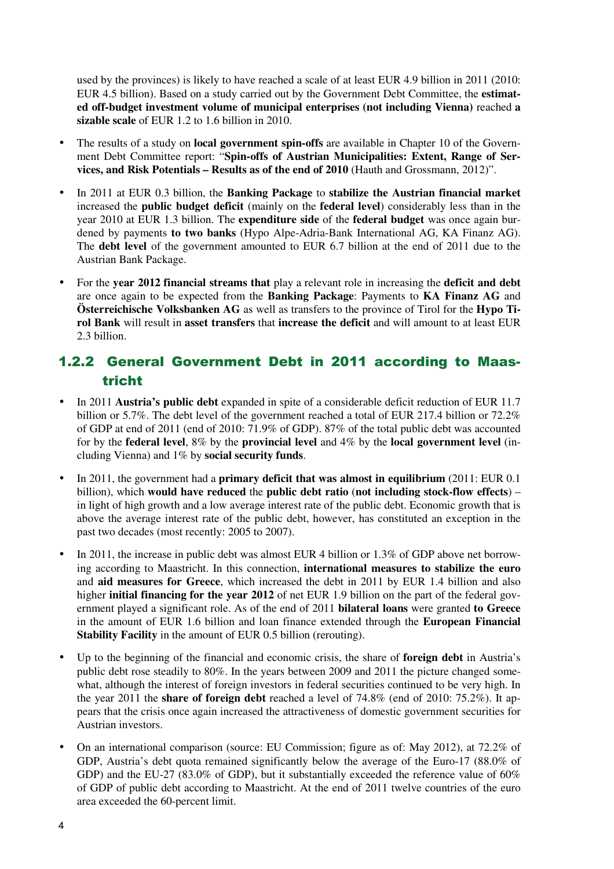used by the provinces) is likely to have reached a scale of at least EUR 4.9 billion in 2011 (2010: EUR 4.5 billion). Based on a study carried out by the Government Debt Committee, the **estimated off-budget investment volume of municipal enterprises (not including Vienna)** reached **a sizable scale** of EUR 1.2 to 1.6 billion in 2010.

- The results of a study on **local government spin-offs** are available in Chapter 10 of the Government Debt Committee report: "**Spin-offs of Austrian Municipalities: Extent, Range of Services, and Risk Potentials – Results as of the end of 2010** (Hauth and Grossmann, 2012)".
- In 2011 at EUR 0.3 billion, the **Banking Package** to **stabilize the Austrian financial market**  increased the **public budget deficit** (mainly on the **federal level**) considerably less than in the year 2010 at EUR 1.3 billion. The **expenditure side** of the **federal budget** was once again burdened by payments **to two banks** (Hypo Alpe-Adria-Bank International AG, KA Finanz AG). The **debt level** of the government amounted to EUR 6.7 billion at the end of 2011 due to the Austrian Bank Package.
- For the **year 2012 financial streams that** play a relevant role in increasing the **deficit and debt** are once again to be expected from the **Banking Package**: Payments to **KA Finanz AG** and **Österreichische Volksbanken AG** as well as transfers to the province of Tirol for the **Hypo Tirol Bank** will result in **asset transfers** that **increase the deficit** and will amount to at least EUR 2.3 billion.

#### 1.2.2 General Government Debt in 2011 according to Maastricht

- In 2011 **Austria's public debt** expanded in spite of a considerable deficit reduction of EUR 11.7 billion or 5.7%. The debt level of the government reached a total of EUR 217.4 billion or 72.2% of GDP at end of 2011 (end of 2010: 71.9% of GDP). 87% of the total public debt was accounted for by the **federal level**, 8% by the **provincial level** and 4% by the **local government level** (including Vienna) and 1% by **social security funds**.
- In 2011, the government had a **primary deficit that was almost in equilibrium** (2011: EUR 0.1 billion), which **would have reduced** the **public debt ratio** (**not including stock-flow effects**) – in light of high growth and a low average interest rate of the public debt. Economic growth that is above the average interest rate of the public debt, however, has constituted an exception in the past two decades (most recently: 2005 to 2007).
- In 2011, the increase in public debt was almost EUR 4 billion or 1.3% of GDP above net borrowing according to Maastricht. In this connection, **international measures to stabilize the euro**  and **aid measures for Greece**, which increased the debt in 2011 by EUR 1.4 billion and also higher **initial financing for the year 2012** of net EUR 1.9 billion on the part of the federal government played a significant role. As of the end of 2011 **bilateral loans** were granted **to Greece** in the amount of EUR 1.6 billion and loan finance extended through the **European Financial Stability Facility** in the amount of EUR 0.5 billion (rerouting).
- Up to the beginning of the financial and economic crisis, the share of **foreign debt** in Austria's public debt rose steadily to 80%. In the years between 2009 and 2011 the picture changed somewhat, although the interest of foreign investors in federal securities continued to be very high. In the year 2011 the **share of foreign debt** reached a level of 74.8% (end of 2010: 75.2%). It appears that the crisis once again increased the attractiveness of domestic government securities for Austrian investors.
- On an international comparison (source: EU Commission; figure as of: May 2012), at 72.2% of GDP, Austria's debt quota remained significantly below the average of the Euro-17 (88.0% of GDP) and the EU-27 (83.0% of GDP), but it substantially exceeded the reference value of 60% of GDP of public debt according to Maastricht. At the end of 2011 twelve countries of the euro area exceeded the 60-percent limit.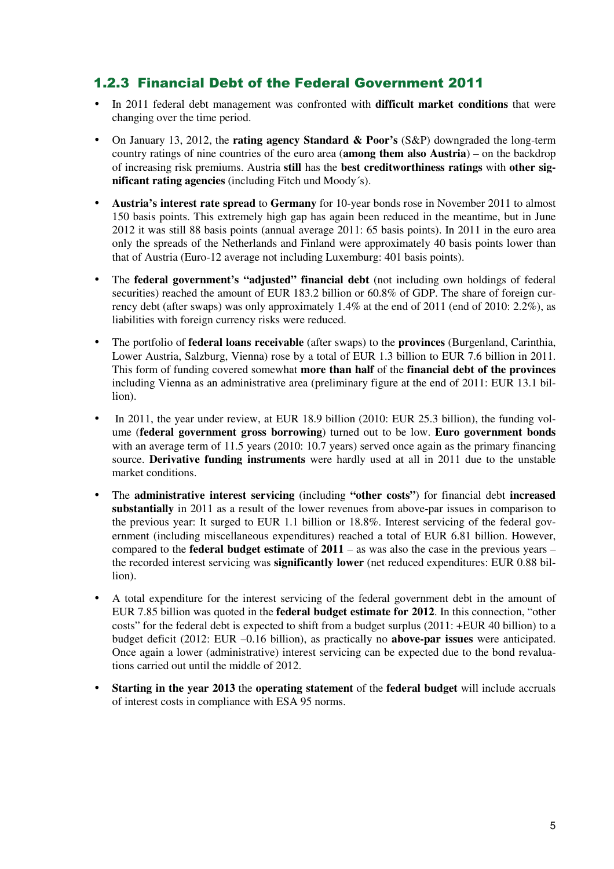#### 1.2.3 Financial Debt of the Federal Government 2011

- In 2011 federal debt management was confronted with **difficult market conditions** that were changing over the time period.
- On January 13, 2012, the **rating agency Standard & Poor's** (S&P) downgraded the long-term country ratings of nine countries of the euro area (**among them also Austria**) – on the backdrop of increasing risk premiums. Austria **still** has the **best creditworthiness ratings** with **other significant rating agencies** (including Fitch und Moody´s).
- **Austria's interest rate spread** to **Germany** for 10-year bonds rose in November 2011 to almost 150 basis points. This extremely high gap has again been reduced in the meantime, but in June 2012 it was still 88 basis points (annual average 2011: 65 basis points). In 2011 in the euro area only the spreads of the Netherlands and Finland were approximately 40 basis points lower than that of Austria (Euro-12 average not including Luxemburg: 401 basis points).
- The **federal government's "adjusted" financial debt** (not including own holdings of federal securities) reached the amount of EUR 183.2 billion or 60.8% of GDP. The share of foreign currency debt (after swaps) was only approximately 1.4% at the end of 2011 (end of 2010: 2.2%), as liabilities with foreign currency risks were reduced.
- The portfolio of **federal loans receivable** (after swaps) to the **provinces** (Burgenland, Carinthia, Lower Austria, Salzburg, Vienna) rose by a total of EUR 1.3 billion to EUR 7.6 billion in 2011. This form of funding covered somewhat **more than half** of the **financial debt of the provinces** including Vienna as an administrative area (preliminary figure at the end of 2011: EUR 13.1 billion).
- In 2011, the year under review, at EUR 18.9 billion (2010: EUR 25.3 billion), the funding volume (**federal government gross borrowing**) turned out to be low. **Euro government bonds** with an average term of 11.5 years (2010: 10.7 years) served once again as the primary financing source. **Derivative funding instruments** were hardly used at all in 2011 due to the unstable market conditions.
- The **administrative interest servicing** (including **"other costs"**) for financial debt **increased substantially** in 2011 as a result of the lower revenues from above-par issues in comparison to the previous year: It surged to EUR 1.1 billion or 18.8%. Interest servicing of the federal government (including miscellaneous expenditures) reached a total of EUR 6.81 billion. However, compared to the **federal budget estimate** of **2011** – as was also the case in the previous years – the recorded interest servicing was **significantly lower** (net reduced expenditures: EUR 0.88 billion).
- A total expenditure for the interest servicing of the federal government debt in the amount of EUR 7.85 billion was quoted in the **federal budget estimate for 2012**. In this connection, "other costs" for the federal debt is expected to shift from a budget surplus (2011: +EUR 40 billion) to a budget deficit (2012: EUR –0.16 billion), as practically no **above-par issues** were anticipated. Once again a lower (administrative) interest servicing can be expected due to the bond revaluations carried out until the middle of 2012.
- **Starting in the year 2013** the **operating statement** of the **federal budget** will include accruals of interest costs in compliance with ESA 95 norms.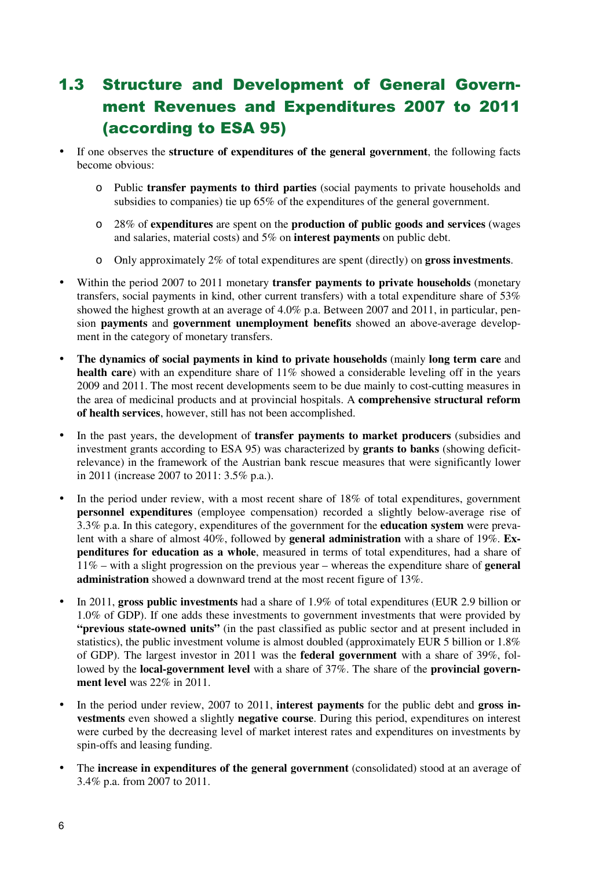# 1.3 Structure and Development of General Government Revenues and Expenditures 2007 to 2011 (according to ESA 95)

- If one observes the **structure of expenditures of the general government**, the following facts become obvious:
	- o Public **transfer payments to third parties** (social payments to private households and subsidies to companies) tie up 65% of the expenditures of the general government.
	- o 28% of **expenditures** are spent on the **production of public goods and services** (wages and salaries, material costs) and 5% on **interest payments** on public debt.
	- o Only approximately 2% of total expenditures are spent (directly) on **gross investments**.
- Within the period 2007 to 2011 monetary **transfer payments to private households** (monetary transfers, social payments in kind, other current transfers) with a total expenditure share of 53% showed the highest growth at an average of 4.0% p.a. Between 2007 and 2011, in particular, pension **payments** and **government unemployment benefits** showed an above-average development in the category of monetary transfers.
- **The dynamics of social payments in kind to private households** (mainly **long term care** and health care) with an expenditure share of 11% showed a considerable leveling off in the years 2009 and 2011. The most recent developments seem to be due mainly to cost-cutting measures in the area of medicinal products and at provincial hospitals. A **comprehensive structural reform of health services**, however, still has not been accomplished.
- In the past years, the development of **transfer payments to market producers** (subsidies and investment grants according to ESA 95) was characterized by **grants to banks** (showing deficitrelevance) in the framework of the Austrian bank rescue measures that were significantly lower in 2011 (increase 2007 to 2011: 3.5% p.a.).
- In the period under review, with a most recent share of 18% of total expenditures, government **personnel expenditures** (employee compensation) recorded a slightly below-average rise of 3.3% p.a. In this category, expenditures of the government for the **education system** were prevalent with a share of almost 40%, followed by **general administration** with a share of 19%. **Expenditures for education as a whole**, measured in terms of total expenditures, had a share of 11% – with a slight progression on the previous year – whereas the expenditure share of **general administration** showed a downward trend at the most recent figure of 13%.
- In 2011, **gross public investments** had a share of 1.9% of total expenditures (EUR 2.9 billion or 1.0% of GDP). If one adds these investments to government investments that were provided by **"previous state-owned units"** (in the past classified as public sector and at present included in statistics), the public investment volume is almost doubled (approximately EUR 5 billion or 1.8% of GDP). The largest investor in 2011 was the **federal government** with a share of 39%, followed by the **local-government level** with a share of 37%. The share of the **provincial government level** was 22% in 2011.
- In the period under review, 2007 to 2011, **interest payments** for the public debt and **gross investments** even showed a slightly **negative course**. During this period, expenditures on interest were curbed by the decreasing level of market interest rates and expenditures on investments by spin-offs and leasing funding.
- The **increase in expenditures of the general government** (consolidated) stood at an average of 3.4% p.a. from 2007 to 2011.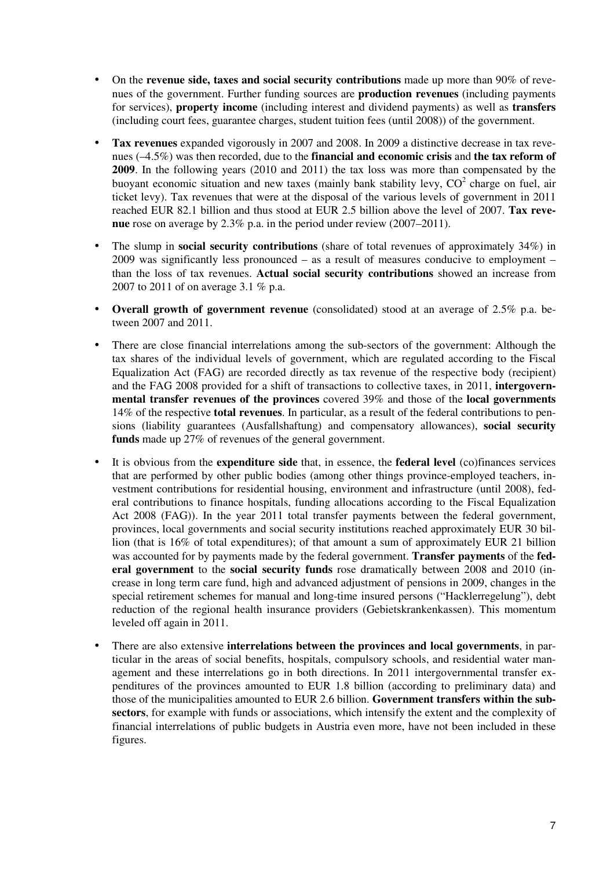- On the **revenue side, taxes and social security contributions** made up more than 90% of revenues of the government. Further funding sources are **production revenues** (including payments for services), **property income** (including interest and dividend payments) as well as **transfers**  (including court fees, guarantee charges, student tuition fees (until 2008)) of the government.
- **Tax revenues** expanded vigorously in 2007 and 2008. In 2009 a distinctive decrease in tax revenues (–4.5%) was then recorded, due to the **financial and economic crisis** and **the tax reform of 2009**. In the following years (2010 and 2011) the tax loss was more than compensated by the buoyant economic situation and new taxes (mainly bank stability levy,  $CO^2$  charge on fuel, air ticket levy). Tax revenues that were at the disposal of the various levels of government in 2011 reached EUR 82.1 billion and thus stood at EUR 2.5 billion above the level of 2007. **Tax revenue** rose on average by 2.3% p.a. in the period under review (2007–2011).
- The slump in **social security contributions** (share of total revenues of approximately 34%) in 2009 was significantly less pronounced – as a result of measures conducive to employment – than the loss of tax revenues. **Actual social security contributions** showed an increase from 2007 to 2011 of on average 3.1 % p.a.
- **Overall growth of government revenue** (consolidated) stood at an average of 2.5% p.a. between 2007 and 2011.
- There are close financial interrelations among the sub-sectors of the government: Although the tax shares of the individual levels of government, which are regulated according to the Fiscal Equalization Act (FAG) are recorded directly as tax revenue of the respective body (recipient) and the FAG 2008 provided for a shift of transactions to collective taxes, in 2011, **intergovernmental transfer revenues of the provinces** covered 39% and those of the **local governments** 14% of the respective **total revenues**. In particular, as a result of the federal contributions to pensions (liability guarantees (Ausfallshaftung) and compensatory allowances), **social security funds** made up 27% of revenues of the general government.
- It is obvious from the **expenditure side** that, in essence, the **federal level** (co)finances services that are performed by other public bodies (among other things province-employed teachers, investment contributions for residential housing, environment and infrastructure (until 2008), federal contributions to finance hospitals, funding allocations according to the Fiscal Equalization Act 2008 (FAG)). In the year 2011 total transfer payments between the federal government, provinces, local governments and social security institutions reached approximately EUR 30 billion (that is 16% of total expenditures); of that amount a sum of approximately EUR 21 billion was accounted for by payments made by the federal government. **Transfer payments** of the **federal government** to the **social security funds** rose dramatically between 2008 and 2010 (increase in long term care fund, high and advanced adjustment of pensions in 2009, changes in the special retirement schemes for manual and long-time insured persons ("Hacklerregelung"), debt reduction of the regional health insurance providers (Gebietskrankenkassen). This momentum leveled off again in 2011.
- There are also extensive **interrelations between the provinces and local governments**, in particular in the areas of social benefits, hospitals, compulsory schools, and residential water management and these interrelations go in both directions. In 2011 intergovernmental transfer expenditures of the provinces amounted to EUR 1.8 billion (according to preliminary data) and those of the municipalities amounted to EUR 2.6 billion. **Government transfers within the subsectors**, for example with funds or associations, which intensify the extent and the complexity of financial interrelations of public budgets in Austria even more, have not been included in these figures.